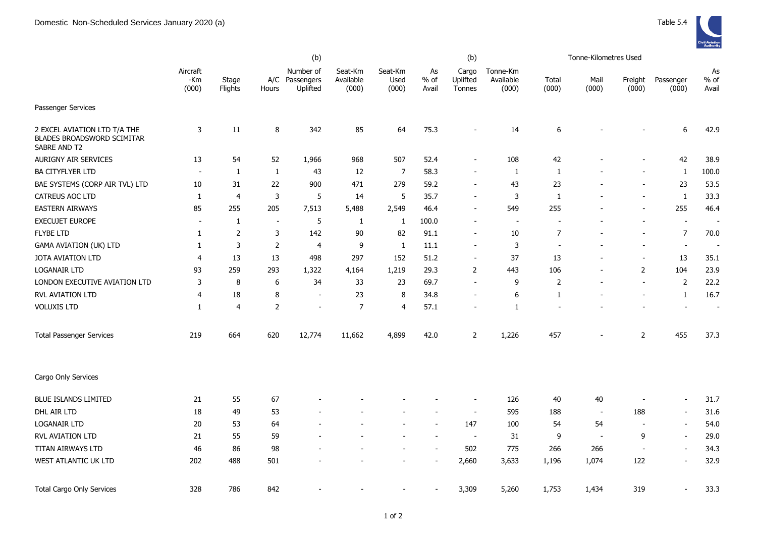|                                                                                   | (b)                      |                  |                |                                         |                               |                          | (b)                   |                             |                                |                          | Tonne-Kilometres Used |                  |                          |                          |
|-----------------------------------------------------------------------------------|--------------------------|------------------|----------------|-----------------------------------------|-------------------------------|--------------------------|-----------------------|-----------------------------|--------------------------------|--------------------------|-----------------------|------------------|--------------------------|--------------------------|
|                                                                                   | Aircraft<br>-Km<br>(000) | Stage<br>Flights | Hours          | Number of<br>A/C Passengers<br>Uplifted | Seat-Km<br>Available<br>(000) | Seat-Km<br>Used<br>(000) | As<br>$%$ of<br>Avail | Cargo<br>Uplifted<br>Tonnes | Tonne-Km<br>Available<br>(000) | Total<br>(000)           | Mail<br>(000)         | Freight<br>(000) | Passenger<br>(000)       | As<br>$%$ of<br>Avail    |
| Passenger Services                                                                |                          |                  |                |                                         |                               |                          |                       |                             |                                |                          |                       |                  |                          |                          |
| 2 EXCEL AVIATION LTD T/A THE<br><b>BLADES BROADSWORD SCIMITAR</b><br>SABRE AND T2 | 3                        | 11               | 8              | 342                                     | 85                            | 64                       | 75.3                  | $\overline{\phantom{a}}$    | 14                             | 6                        |                       |                  | 6                        | 42.9                     |
| AURIGNY AIR SERVICES                                                              | 13                       | 54               | 52             | 1,966                                   | 968                           | 507                      | 52.4                  |                             | 108                            | 42                       |                       |                  | 42                       | 38.9                     |
| <b>BA CITYFLYER LTD</b>                                                           | $\overline{\phantom{a}}$ | $\mathbf{1}$     | $\mathbf{1}$   | 43                                      | 12                            | 7                        | 58.3                  |                             | 1                              | 1                        |                       |                  | $\mathbf{1}$             | 100.0                    |
| BAE SYSTEMS (CORP AIR TVL) LTD                                                    | 10                       | 31               | 22             | 900                                     | 471                           | 279                      | 59.2                  | $\sim$                      | 43                             | 23                       |                       |                  | 23                       | 53.5                     |
| <b>CATREUS AOC LTD</b>                                                            | -1                       | $\overline{4}$   | 3              | 5                                       | 14                            | 5                        | 35.7                  | $\overline{\phantom{a}}$    | 3                              | 1                        |                       |                  | $\mathbf{1}$             | 33.3                     |
| <b>EASTERN AIRWAYS</b>                                                            | 85                       | 255              | 205            | 7,513                                   | 5,488                         | 2,549                    | 46.4                  |                             | 549                            | 255                      |                       |                  | 255                      | 46.4                     |
| <b>EXECUJET EUROPE</b>                                                            | $\overline{\phantom{a}}$ | $\mathbf{1}$     | $\blacksquare$ | 5                                       | 1                             | 1                        | 100.0                 | $\overline{\phantom{a}}$    | $\sim$                         | $\overline{a}$           |                       |                  | $\blacksquare$           | $\overline{\phantom{a}}$ |
| <b>FLYBE LTD</b>                                                                  | $\mathbf{1}$             | $\overline{2}$   | 3              | 142                                     | 90                            | 82                       | 91.1                  | $\overline{\phantom{a}}$    | 10                             | $\overline{7}$           |                       |                  | $\overline{7}$           | 70.0                     |
| <b>GAMA AVIATION (UK) LTD</b>                                                     | $\mathbf{1}$             | 3                | $\mathsf{2}$   | 4                                       | 9                             | $\mathbf{1}$             | 11.1                  |                             | 3                              | $\overline{\phantom{a}}$ |                       |                  | $\overline{\phantom{a}}$ | $\overline{\phantom{a}}$ |
| JOTA AVIATION LTD                                                                 | 4                        | 13               | 13             | 498                                     | 297                           | 152                      | 51.2                  | $\sim$                      | 37                             | 13                       |                       |                  | 13                       | 35.1                     |
| <b>LOGANAIR LTD</b>                                                               | 93                       | 259              | 293            | 1,322                                   | 4,164                         | 1,219                    | 29.3                  | $\overline{2}$              | 443                            | 106                      | $\blacksquare$        | $\overline{2}$   | 104                      | 23.9                     |
| LONDON EXECUTIVE AVIATION LTD                                                     | 3                        | 8                | 6              | 34                                      | 33                            | 23                       | 69.7                  | $\sim$                      | 9                              | $\overline{2}$           |                       | $\sim$           | $\overline{2}$           | 22.2                     |
| <b>RVL AVIATION LTD</b>                                                           | 4                        | 18               | $\bf 8$        | $\overline{\phantom{a}}$                | 23                            | 8                        | 34.8                  |                             | 6                              | 1                        |                       |                  | $\mathbf{1}$             | 16.7                     |
| <b>VOLUXIS LTD</b>                                                                | 1                        | $\overline{4}$   | $\overline{2}$ | $\overline{\phantom{a}}$                | $\overline{7}$                | 4                        | 57.1                  |                             | 1                              |                          |                       |                  | $\overline{\phantom{a}}$ | $\overline{\phantom{a}}$ |
| <b>Total Passenger Services</b>                                                   | 219                      | 664              | 620            | 12,774                                  | 11,662                        | 4,899                    | 42.0                  | $\overline{2}$              | 1,226                          | 457                      |                       | 2                | 455                      | 37.3                     |
| Cargo Only Services                                                               |                          |                  |                |                                         |                               |                          |                       |                             |                                |                          |                       |                  |                          |                          |
| <b>BLUE ISLANDS LIMITED</b>                                                       | 21                       | 55               | 67             |                                         |                               |                          |                       |                             | 126                            | 40                       | $40\,$                |                  | $\sim$                   | 31.7                     |
| DHL AIR LTD                                                                       | 18                       | 49               | 53             |                                         |                               |                          |                       | $\sim$                      | 595                            | 188                      | $\sim$                | 188              | $\sim$                   | 31.6                     |
| <b>LOGANAIR LTD</b>                                                               | 20                       | 53               | 64             |                                         |                               |                          | $\overline{a}$        | 147                         | 100                            | 54                       | 54                    |                  | $\overline{a}$           | 54.0                     |
| <b>RVL AVIATION LTD</b>                                                           | 21                       | 55               | 59             |                                         |                               |                          |                       |                             | 31                             | 9                        | $\blacksquare$        | 9                | $\sim$                   | 29.0                     |
| TITAN AIRWAYS LTD                                                                 | 46                       | 86               | 98             |                                         |                               |                          |                       | 502                         | 775                            | 266                      | 266                   |                  | $\overline{\phantom{a}}$ | 34.3                     |
| WEST ATLANTIC UK LTD                                                              | 202                      | 488              | 501            |                                         |                               |                          |                       | 2,660                       | 3,633                          | 1,196                    | 1,074                 | 122              | $\blacksquare$           | 32.9                     |
| <b>Total Cargo Only Services</b>                                                  | 328                      | 786              | 842            |                                         |                               |                          |                       | 3,309                       | 5,260                          | 1,753                    | 1,434                 | 319              | $\sim$                   | 33.3                     |